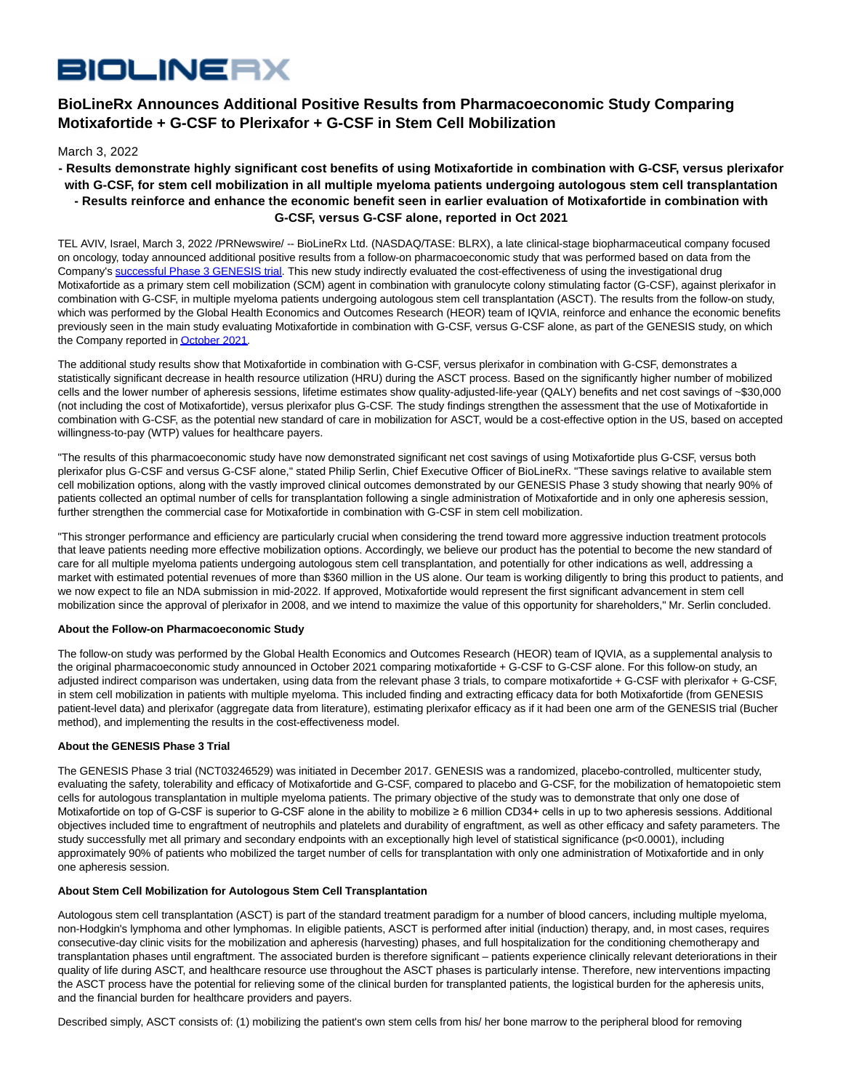# **BIOLINERX**

# **BioLineRx Announces Additional Positive Results from Pharmacoeconomic Study Comparing Motixafortide + G-CSF to Plerixafor + G-CSF in Stem Cell Mobilization**

March 3, 2022

## **- Results demonstrate highly significant cost benefits of using Motixafortide in combination with G-CSF, versus plerixafor with G-CSF, for stem cell mobilization in all multiple myeloma patients undergoing autologous stem cell transplantation - Results reinforce and enhance the economic benefit seen in earlier evaluation of Motixafortide in combination with G-CSF, versus G-CSF alone, reported in Oct 2021**

TEL AVIV, Israel, March 3, 2022 /PRNewswire/ -- BioLineRx Ltd. (NASDAQ/TASE: BLRX), a late clinical-stage biopharmaceutical company focused on oncology, today announced additional positive results from a follow-on pharmacoeconomic study that was performed based on data from the Company's [successful Phase 3 GENESIS trial.](https://ir.biolinerx.com/news-releases/news-release-details/biolinerx-announces-positive-top-line-results-genesis-phase-3) This new study indirectly evaluated the cost-effectiveness of using the investigational drug Motixafortide as a primary stem cell mobilization (SCM) agent in combination with granulocyte colony stimulating factor (G-CSF), against plerixafor in combination with G-CSF, in multiple myeloma patients undergoing autologous stem cell transplantation (ASCT). The results from the follow-on study, which was performed by the Global Health Economics and Outcomes Research (HEOR) team of IQVIA, reinforce and enhance the economic benefits previously seen in the main study evaluating Motixafortide in combination with G-CSF, versus G-CSF alone, as part of the GENESIS study, on which the Company reported i[n October 2021.](https://ir.biolinerx.com/news-releases/news-release-details/biolinerx-announces-positive-results-pharmacoeconomic-study)

The additional study results show that Motixafortide in combination with G-CSF, versus plerixafor in combination with G-CSF, demonstrates a statistically significant decrease in health resource utilization (HRU) during the ASCT process. Based on the significantly higher number of mobilized cells and the lower number of apheresis sessions, lifetime estimates show quality-adjusted-life-year (QALY) benefits and net cost savings of ~\$30,000 (not including the cost of Motixafortide), versus plerixafor plus G-CSF. The study findings strengthen the assessment that the use of Motixafortide in combination with G-CSF, as the potential new standard of care in mobilization for ASCT, would be a cost-effective option in the US, based on accepted willingness-to-pay (WTP) values for healthcare payers.

"The results of this pharmacoeconomic study have now demonstrated significant net cost savings of using Motixafortide plus G-CSF, versus both plerixafor plus G-CSF and versus G-CSF alone," stated Philip Serlin, Chief Executive Officer of BioLineRx. "These savings relative to available stem cell mobilization options, along with the vastly improved clinical outcomes demonstrated by our GENESIS Phase 3 study showing that nearly 90% of patients collected an optimal number of cells for transplantation following a single administration of Motixafortide and in only one apheresis session, further strengthen the commercial case for Motixafortide in combination with G-CSF in stem cell mobilization.

"This stronger performance and efficiency are particularly crucial when considering the trend toward more aggressive induction treatment protocols that leave patients needing more effective mobilization options. Accordingly, we believe our product has the potential to become the new standard of care for all multiple myeloma patients undergoing autologous stem cell transplantation, and potentially for other indications as well, addressing a market with estimated potential revenues of more than \$360 million in the US alone. Our team is working diligently to bring this product to patients, and we now expect to file an NDA submission in mid-2022. If approved, Motixafortide would represent the first significant advancement in stem cell mobilization since the approval of plerixafor in 2008, and we intend to maximize the value of this opportunity for shareholders," Mr. Serlin concluded.

### **About the Follow-on Pharmacoeconomic Study**

The follow-on study was performed by the Global Health Economics and Outcomes Research (HEOR) team of IQVIA, as a supplemental analysis to the original pharmacoeconomic study announced in October 2021 comparing motixafortide + G-CSF to G-CSF alone. For this follow-on study, an adjusted indirect comparison was undertaken, using data from the relevant phase 3 trials, to compare motixafortide + G-CSF with plerixafor + G-CSF, in stem cell mobilization in patients with multiple myeloma. This included finding and extracting efficacy data for both Motixafortide (from GENESIS patient-level data) and plerixafor (aggregate data from literature), estimating plerixafor efficacy as if it had been one arm of the GENESIS trial (Bucher method), and implementing the results in the cost-effectiveness model.

#### **About the GENESIS Phase 3 Trial**

The GENESIS Phase 3 trial (NCT03246529) was initiated in December 2017. GENESIS was a randomized, placebo-controlled, multicenter study, evaluating the safety, tolerability and efficacy of Motixafortide and G-CSF, compared to placebo and G-CSF, for the mobilization of hematopoietic stem cells for autologous transplantation in multiple myeloma patients. The primary objective of the study was to demonstrate that only one dose of Motixafortide on top of G-CSF is superior to G-CSF alone in the ability to mobilize ≥ 6 million CD34+ cells in up to two apheresis sessions. Additional objectives included time to engraftment of neutrophils and platelets and durability of engraftment, as well as other efficacy and safety parameters. The study successfully met all primary and secondary endpoints with an exceptionally high level of statistical significance (p<0.0001), including approximately 90% of patients who mobilized the target number of cells for transplantation with only one administration of Motixafortide and in only one apheresis session.

#### **About Stem Cell Mobilization for Autologous Stem Cell Transplantation**

Autologous stem cell transplantation (ASCT) is part of the standard treatment paradigm for a number of blood cancers, including multiple myeloma, non-Hodgkin's lymphoma and other lymphomas. In eligible patients, ASCT is performed after initial (induction) therapy, and, in most cases, requires consecutive-day clinic visits for the mobilization and apheresis (harvesting) phases, and full hospitalization for the conditioning chemotherapy and transplantation phases until engraftment. The associated burden is therefore significant – patients experience clinically relevant deteriorations in their quality of life during ASCT, and healthcare resource use throughout the ASCT phases is particularly intense. Therefore, new interventions impacting the ASCT process have the potential for relieving some of the clinical burden for transplanted patients, the logistical burden for the apheresis units, and the financial burden for healthcare providers and payers.

Described simply, ASCT consists of: (1) mobilizing the patient's own stem cells from his/ her bone marrow to the peripheral blood for removing